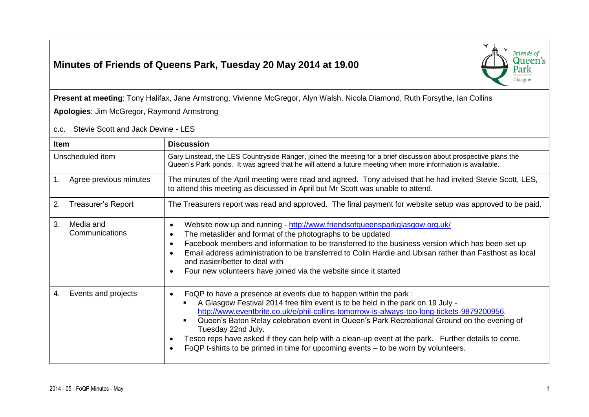## **Minutes of Friends of Queens Park, Tuesday 20 May 2014 at 19.00**



**Present at meeting**: Tony Halifax, Jane Armstrong, Vivienne McGregor, Alyn Walsh, Nicola Diamond, Ruth Forsythe, Ian Collins **Apologies**: Jim McGregor, Raymond Armstrong

c.c. Stevie Scott and Jack Devine - LES

| Item                              | <b>Discussion</b>                                                                                                                                                                                                                                                                                                                                                                                                                                                                                                                                                                |
|-----------------------------------|----------------------------------------------------------------------------------------------------------------------------------------------------------------------------------------------------------------------------------------------------------------------------------------------------------------------------------------------------------------------------------------------------------------------------------------------------------------------------------------------------------------------------------------------------------------------------------|
| Unscheduled item                  | Gary Linstead, the LES Countryside Ranger, joined the meeting for a brief discussion about prospective plans the<br>Queen's Park ponds. It was agreed that he will attend a future meeting when more information is available.                                                                                                                                                                                                                                                                                                                                                   |
| Agree previous minutes<br>1.      | The minutes of the April meeting were read and agreed. Tony advised that he had invited Stevie Scott, LES,<br>to attend this meeting as discussed in April but Mr Scott was unable to attend.                                                                                                                                                                                                                                                                                                                                                                                    |
| 2.<br>Treasurer's Report          | The Treasurers report was read and approved. The final payment for website setup was approved to be paid.                                                                                                                                                                                                                                                                                                                                                                                                                                                                        |
| 3.<br>Media and<br>Communications | Website now up and running - http://www.friendsofqueensparkglasgow.org.uk/<br>$\bullet$<br>The metaslider and format of the photographs to be updated<br>$\bullet$<br>Facebook members and information to be transferred to the business version which has been set up<br>$\bullet$<br>Email address administration to be transferred to Colin Hardie and Ubisan rather than Fasthost as local<br>$\bullet$<br>and easier/better to deal with<br>Four new volunteers have joined via the website since it started                                                                |
| Events and projects<br>4.         | FoQP to have a presence at events due to happen within the park :<br>$\bullet$<br>A Glasgow Festival 2014 free film event is to be held in the park on 19 July -<br>http://www.eventbrite.co.uk/e/phil-collins-tomorrow-is-always-too-long-tickets-9879200956.<br>Queen's Baton Relay celebration event in Queen's Park Recreational Ground on the evening of<br>Tuesday 22nd July.<br>Tesco reps have asked if they can help with a clean-up event at the park. Further details to come.<br>FoQP t-shirts to be printed in time for upcoming events – to be worn by volunteers. |